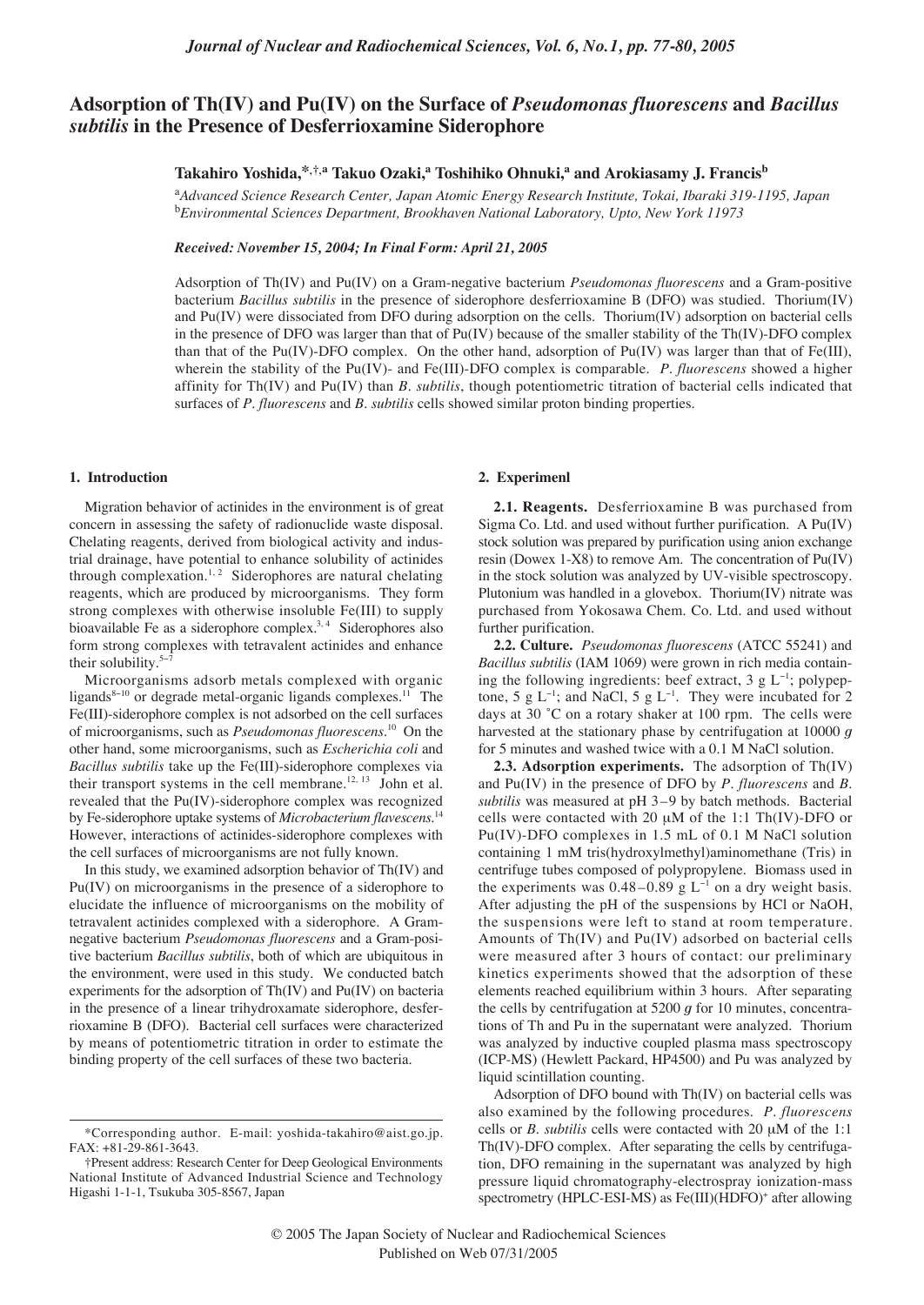# **Adsorption of Th(IV) and Pu(IV) on the Surface of** *Pseudomonas fluorescens* **and** *Bacillus subtilis* **in the Presence of Desferrioxamine Siderophore**

## **Takahiro Yoshida,\*,†,a Takuo Ozaki,a Toshihiko Ohnuki,a and Arokiasamy J. Francisb**

a *Advanced Science Research Center, Japan Atomic Energy Research Institute, Tokai, Ibaraki 319-1195, Japan* b *Environmental Sciences Department, Brookhaven National Laboratory, Upto, New York 11973*

*Received: November 15, 2004; In Final Form: April 21, 2005*

Adsorption of Th(IV) and Pu(IV) on a Gram-negative bacterium *Pseudomonas fluorescens* and a Gram-positive bacterium *Bacillus subtilis* in the presence of siderophore desferrioxamine B (DFO) was studied. Thorium(IV) and Pu(IV) were dissociated from DFO during adsorption on the cells. Thorium(IV) adsorption on bacterial cells in the presence of DFO was larger than that of  $Pu(IV)$  because of the smaller stability of the Th $(IV)$ -DFO complex than that of the Pu(IV)-DFO complex. On the other hand, adsorption of Pu(IV) was larger than that of Fe(III), wherein the stability of the Pu(IV)- and Fe(III)-DFO complex is comparable. *P. fluorescens* showed a higher affinity for Th(IV) and Pu(IV) than *B. subtilis*, though potentiometric titration of bacterial cells indicated that surfaces of *P. fluorescens* and *B. subtilis* cells showed similar proton binding properties.

#### **1. Introduction**

Migration behavior of actinides in the environment is of great concern in assessing the safety of radionuclide waste disposal. Chelating reagents, derived from biological activity and industrial drainage, have potential to enhance solubility of actinides through complexation.<sup>1, 2</sup> Siderophores are natural chelating reagents, which are produced by microorganisms. They form strong complexes with otherwise insoluble Fe(III) to supply bioavailable Fe as a siderophore complex.<sup>3, 4</sup> Siderophores also form strong complexes with tetravalent actinides and enhance their solubility.<sup>5−7</sup>

Microorganisms adsorb metals complexed with organic ligands<sup>8−10</sup> or degrade metal-organic ligands complexes.<sup>11</sup> The Fe(III)-siderophore complex is not adsorbed on the cell surfaces of microorganisms, such as *Pseudomonas fluorescens*. <sup>10</sup> On the other hand, some microorganisms, such as *Escherichia coli* and *Bacillus subtilis* take up the Fe(III)-siderophore complexes via their transport systems in the cell membrane.<sup>12, 13</sup> John et al. revealed that the Pu(IV)-siderophore complex was recognized by Fe-siderophore uptake systems of *Microbacterium flavescens*. 14 However, interactions of actinides-siderophore complexes with the cell surfaces of microorganisms are not fully known.

In this study, we examined adsorption behavior of Th(IV) and Pu(IV) on microorganisms in the presence of a siderophore to elucidate the influence of microorganisms on the mobility of tetravalent actinides complexed with a siderophore. A Gramnegative bacterium *Pseudomonas fluorescens* and a Gram-positive bacterium *Bacillus subtilis*, both of which are ubiquitous in the environment, were used in this study. We conducted batch experiments for the adsorption of Th(IV) and Pu(IV) on bacteria in the presence of a linear trihydroxamate siderophore, desferrioxamine B (DFO). Bacterial cell surfaces were characterized by means of potentiometric titration in order to estimate the binding property of the cell surfaces of these two bacteria.

## **2. Experimenl**

**2.1. Reagents.** Desferrioxamine B was purchased from Sigma Co. Ltd. and used without further purification. A Pu(IV) stock solution was prepared by purification using anion exchange resin (Dowex 1-X8) to remove Am. The concentration of Pu(IV) in the stock solution was analyzed by UV-visible spectroscopy. Plutonium was handled in a glovebox. Thorium(IV) nitrate was purchased from Yokosawa Chem. Co. Ltd. and used without further purification.

**2.2. Culture.** *Pseudomonas fluorescens* (ATCC 55241) and *Bacillus subtilis* (IAM 1069) were grown in rich media containing the following ingredients: beef extract, 3 g L<sup>-1</sup>; polypeptone, 5 g L<sup>-1</sup>; and NaCl, 5 g L<sup>-1</sup>. They were incubated for 2 days at 30 ˚C on a rotary shaker at 100 rpm. The cells were harvested at the stationary phase by centrifugation at 10000 *g* for 5 minutes and washed twice with a 0.1 M NaCl solution.

**2.3. Adsorption experiments.** The adsorption of Th(IV) and Pu(IV) in the presence of DFO by *P. fluorescens* and *B. subtilis* was measured at pH 3–9 by batch methods. Bacterial cells were contacted with 20 µM of the 1:1 Th(IV)-DFO or Pu(IV)-DFO complexes in 1.5 mL of 0.1 M NaCl solution containing 1 mM tris(hydroxylmethyl)aminomethane (Tris) in centrifuge tubes composed of polypropylene. Biomass used in the experiments was  $0.48-0.89$  g L<sup>-1</sup> on a dry weight basis. After adjusting the pH of the suspensions by HCl or NaOH, the suspensions were left to stand at room temperature. Amounts of Th(IV) and Pu(IV) adsorbed on bacterial cells were measured after 3 hours of contact: our preliminary kinetics experiments showed that the adsorption of these elements reached equilibrium within 3 hours. After separating the cells by centrifugation at 5200 *g* for 10 minutes, concentrations of Th and Pu in the supernatant were analyzed. Thorium was analyzed by inductive coupled plasma mass spectroscopy (ICP-MS) (Hewlett Packard, HP4500) and Pu was analyzed by liquid scintillation counting.

Adsorption of DFO bound with Th(IV) on bacterial cells was also examined by the following procedures. *P. fluorescens* cells or *B. subtilis* cells were contacted with 20 µM of the 1:1 Th(IV)-DFO complex. After separating the cells by centrifugation, DFO remaining in the supernatant was analyzed by high pressure liquid chromatography-electrospray ionization-mass spectrometry (HPLC-ESI-MS) as Fe(III)(HDFO)<sup>+</sup> after allowing

<sup>\*</sup>Corresponding author. E-mail: yoshida-takahiro@aist.go.jp. FAX: +81-29-861-3643.

<sup>†</sup>Present address: Research Center for Deep Geological Environments National Institute of Advanced Industrial Science and Technology Higashi 1-1-1, Tsukuba 305-8567, Japan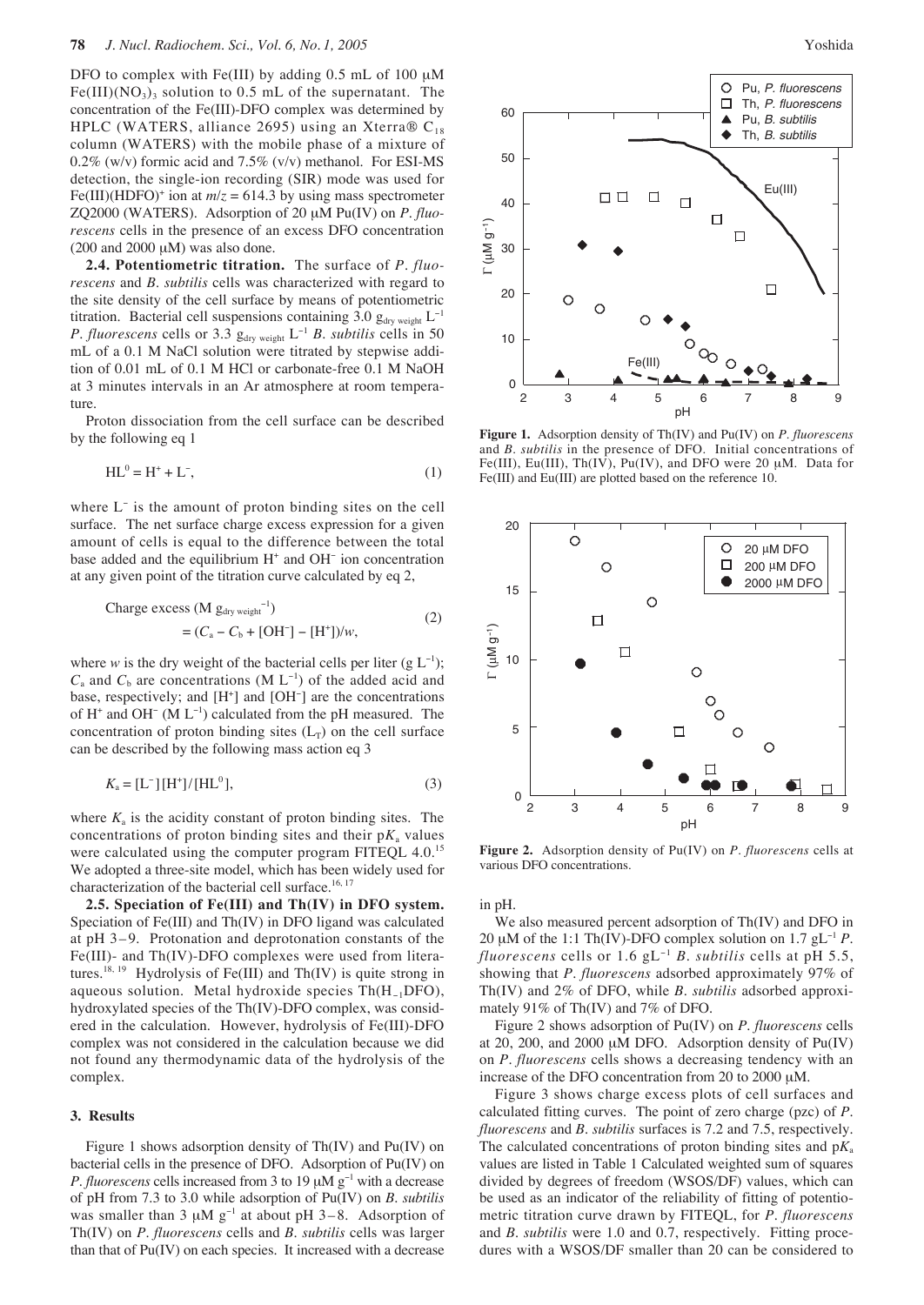DFO to complex with Fe(III) by adding 0.5 mL of 100 µM  $Fe(III)(NO<sub>3</sub>)<sub>3</sub>$  solution to 0.5 mL of the supernatant. The concentration of the Fe(III)-DFO complex was determined by HPLC (WATERS, alliance 2695) using an Xterra ®  $C_{18}$ column (WATERS) with the mobile phase of a mixture of 0.2% (w/v) formic acid and 7.5% (v/v) methanol. For ESI-MS detection, the single-ion recording (SIR) mode was used for Fe(III)(HDFO)<sup>+</sup> ion at  $m/z = 614.3$  by using mass spectrometer ZQ2000 (WATERS). Adsorption of 20 µM Pu(IV) on *P. fluorescens* cells in the presence of an excess DFO concentration  $(200 \text{ and } 2000 \text{ µM})$  was also done.

**2.4. Potentiometric titration.** The surface of *P. fluorescens* and *B. subtilis* cells was characterized with regard to the site density of the cell surface by means of potentiometric titration. Bacterial cell suspensions containing 3.0  $g_{\text{dry weight}}$  L<sup>-1</sup> *P. fluorescens* cells or 3.3 g<sub>dry weight</sub> L<sup>-1</sup> *B. subtilis* cells in 50 mL of a 0.1 M NaCl solution were titrated by stepwise addition of 0.01 mL of 0.1 M HCl or carbonate-free 0.1 M NaOH at 3 minutes intervals in an Ar atmosphere at room temperature.

Proton dissociation from the cell surface can be described by the following eq 1

$$
HL^0 = H^+ + L^-, \tag{1}
$$

where L<sup>−</sup> is the amount of proton binding sites on the cell surface. The net surface charge excess expression for a given amount of cells is equal to the difference between the total base added and the equilibrium H+ and OH<sup>−</sup> ion concentration at any given point of the titration curve calculated by eq 2,

$$
\begin{aligned} \text{Change excess (M gdry weight-1)}\\ &= (C_{\text{a}} - C_{\text{b}} + \text{[OH^-]} - \text{[H^+]})/w, \end{aligned} \tag{2}
$$

where *w* is the dry weight of the bacterial cells per liter (g  $L^{-1}$ );  $C_a$  and  $C_b$  are concentrations (M  $L^{-1}$ ) of the added acid and base, respectively; and [H<sup>+</sup>] and [OH<sup>-</sup>] are the concentrations of H<sup>+</sup> and OH<sup>−</sup> (M L<sup>−</sup><sup>1</sup> ) calculated from the pH measured. The concentration of proton binding sites  $(L_T)$  on the cell surface can be described by the following mass action eq 3

$$
K_{\rm a} = [L^-][H^+]/[HL^0],\tag{3}
$$

where  $K_a$  is the acidity constant of proton binding sites. The concentrations of proton binding sites and their  $pK_a$  values were calculated using the computer program FITEQL 4.0.<sup>15</sup> We adopted a three-site model, which has been widely used for characterization of the bacterial cell surface.<sup>16, 17</sup>

**2.5. Speciation of Fe(III) and Th(IV) in DFO system.** Speciation of Fe(III) and Th(IV) in DFO ligand was calculated at pH 3–9. Protonation and deprotonation constants of the Fe(III)- and Th(IV)-DFO complexes were used from literatures.<sup>18, 19</sup> Hydrolysis of Fe(III) and Th(IV) is quite strong in aqueous solution. Metal hydroxide species Th(H−1DFO), hydroxylated species of the Th(IV)-DFO complex, was considered in the calculation. However, hydrolysis of Fe(III)-DFO complex was not considered in the calculation because we did not found any thermodynamic data of the hydrolysis of the complex.

#### **3. Results**

Figure 1 shows adsorption density of Th(IV) and Pu(IV) on bacterial cells in the presence of DFO. Adsorption of Pu(IV) on *P. fluorescens* cells increased from 3 to 19  $\mu$ M  $g^{-1}$  with a decrease of pH from 7.3 to 3.0 while adsorption of Pu(IV) on *B. subtilis* was smaller than 3  $\mu$ M g<sup>-1</sup> at about pH 3–8. Adsorption of Th(IV) on *P. fluorescens* cells and *B. subtilis* cells was larger than that of Pu(IV) on each species. It increased with a decrease



**Figure 1.** Adsorption density of Th(IV) and Pu(IV) on *P. fluorescens* and *B. subtilis* in the presence of DFO. Initial concentrations of Fe(III), Eu(III), Th(IV), Pu(IV), and DFO were 20  $\mu$ M. Data for Fe(III) and Eu(III) are plotted based on the reference 10.



**Figure 2.** Adsorption density of Pu(IV) on *P. fluorescens* cells at various DFO concentrations.

in pH.

We also measured percent adsorption of Th(IV) and DFO in 20 µM of the 1:1 Th(IV)-DFO complex solution on 1.7 gL<sup>−</sup><sup>1</sup> *P. fluorescens* cells or 1.6 gL<sup>−</sup><sup>1</sup> *B. subtilis* cells at pH 5.5, showing that *P. fluorescens* adsorbed approximately 97% of Th(IV) and 2% of DFO, while *B. subtilis* adsorbed approximately 91% of Th(IV) and 7% of DFO.

Figure 2 shows adsorption of Pu(IV) on *P. fluorescens* cells at 20, 200, and 2000 µM DFO. Adsorption density of Pu(IV) on *P. fluorescens* cells shows a decreasing tendency with an increase of the DFO concentration from 20 to 2000 µM.

Figure 3 shows charge excess plots of cell surfaces and calculated fitting curves. The point of zero charge (pzc) of *P. fluorescens* and *B. subtilis* surfaces is 7.2 and 7.5, respectively. The calculated concentrations of proton binding sites and p*K*<sup>a</sup> values are listed in Table 1 Calculated weighted sum of squares divided by degrees of freedom (WSOS/DF) values, which can be used as an indicator of the reliability of fitting of potentiometric titration curve drawn by FITEQL, for *P. fluorescens* and *B. subtilis* were 1.0 and 0.7, respectively. Fitting procedures with a WSOS/DF smaller than 20 can be considered to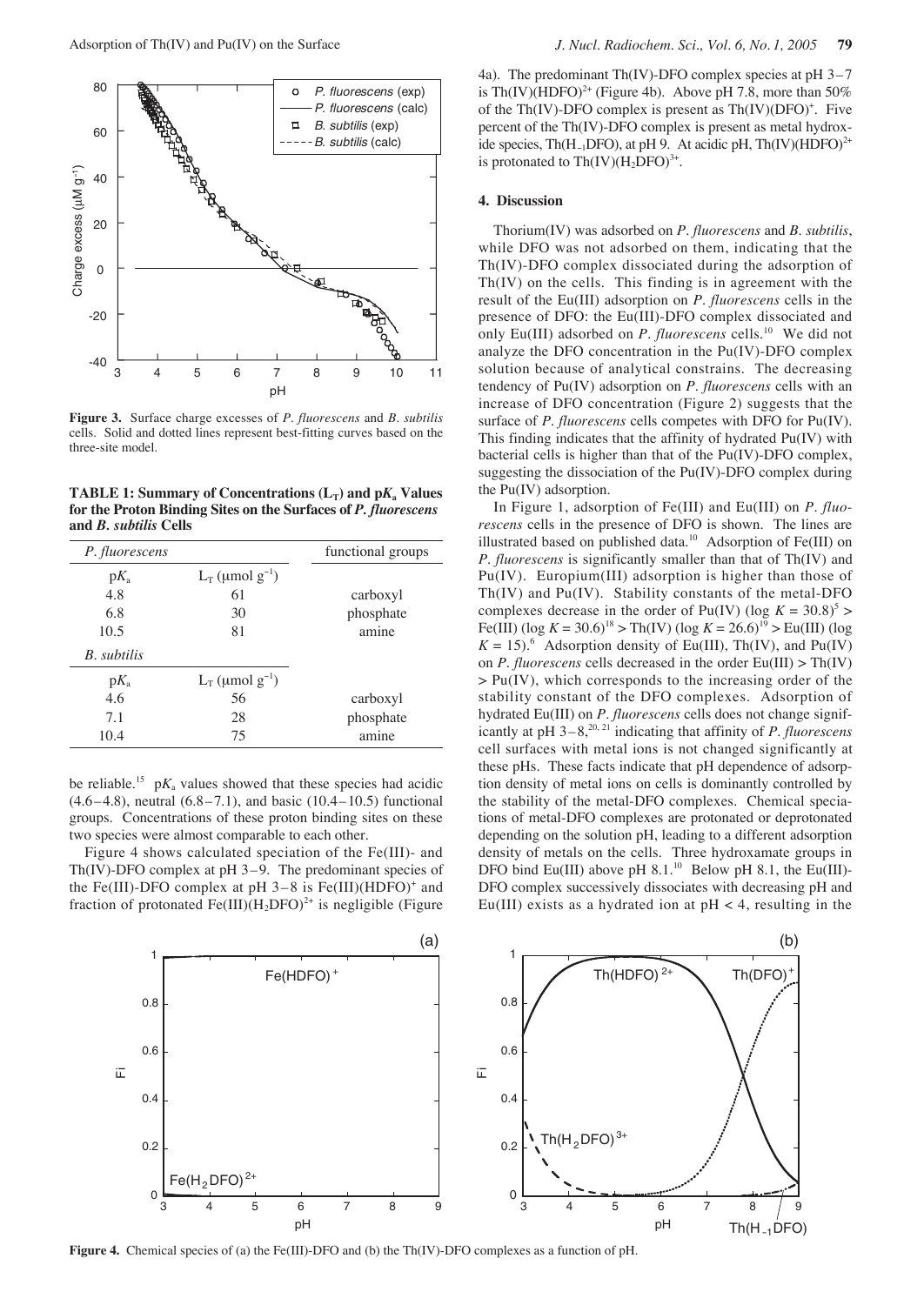

**Figure 3.** Surface charge excesses of *P. fluorescens* and *B. subtilis* cells. Solid and dotted lines represent best-fitting curves based on the three-site model.

**TABLE 1:** Summary of Concentrations  $(L_T)$  and  $pK_a$  Values **for the Proton Binding Sites on the Surfaces of** *P. fluorescens* **and** *B. subtilis* **Cells**

| P. fluorescens |                        | functional groups |
|----------------|------------------------|-------------------|
| $pK_{a}$       | $L_T$ (µmol $g^{-1}$ ) |                   |
| 4.8            | 61                     | carboxyl          |
| 6.8            | 30                     | phosphate         |
| 10.5           | 81                     | amine             |
| B. subtilis    |                        |                   |
| $pK_a$         | $L_T$ (µmol $g^{-1}$ ) |                   |
| 4.6            | 56                     | carboxyl          |
| 7.1            | 28                     | phosphate         |
| 10.4           | 75                     | amine             |

be reliable.<sup>15</sup> p $K_a$  values showed that these species had acidic  $(4.6-4.8)$ , neutral  $(6.8-7.1)$ , and basic  $(10.4-10.5)$  functional groups. Concentrations of these proton binding sites on these two species were almost comparable to each other.

Figure 4 shows calculated speciation of the Fe(III)- and Th(IV)-DFO complex at pH 3–9. The predominant species of the Fe(III)-DFO complex at  $pH$  3–8 is Fe(III)(HDFO)<sup>+</sup> and fraction of protonated Fe(III)(H<sub>2</sub>DFO)<sup>2+</sup> is negligible (Figure

4a). The predominant Th(IV)-DFO complex species at pH 3–7 is Th(IV)(HDFO)<sup>2+</sup> (Figure 4b). Above pH 7.8, more than 50% of the Th(IV)-DFO complex is present as Th(IV)(DFO)<sup>+</sup>. Five percent of the Th(IV)-DFO complex is present as metal hydroxide species, Th(H<sub>-1</sub>DFO), at pH 9. At acidic pH, Th(IV)(HDFO)<sup>2+</sup> is protonated to  $Th(IV)(H_2DFO)^{3+}$ .

#### **4. Discussion**

Thorium(IV) was adsorbed on *P. fluorescens* and *B. subtilis*, while DFO was not adsorbed on them, indicating that the Th(IV)-DFO complex dissociated during the adsorption of Th(IV) on the cells. This finding is in agreement with the result of the Eu(III) adsorption on *P. fluorescens* cells in the presence of DFO: the Eu(III)-DFO complex dissociated and only Eu(III) adsorbed on *P. fluorescens* cells.<sup>10</sup> We did not analyze the DFO concentration in the Pu(IV)-DFO complex solution because of analytical constrains. The decreasing tendency of Pu(IV) adsorption on *P. fluorescens* cells with an increase of DFO concentration (Figure 2) suggests that the surface of *P. fluorescens* cells competes with DFO for Pu(IV). This finding indicates that the affinity of hydrated Pu(IV) with bacterial cells is higher than that of the Pu(IV)-DFO complex, suggesting the dissociation of the Pu(IV)-DFO complex during the Pu(IV) adsorption.

In Figure 1, adsorption of Fe(III) and Eu(III) on *P. fluorescens* cells in the presence of DFO is shown. The lines are illustrated based on published data.10 Adsorption of Fe(III) on *P. fluorescens* is significantly smaller than that of Th(IV) and Pu(IV). Europium(III) adsorption is higher than those of Th(IV) and Pu(IV). Stability constants of the metal-DFO complexes decrease in the order of Pu(IV) (log  $K = 30.8$ )<sup>5</sup> > Fe(III) (log  $K = 30.6$ )<sup>18</sup> > Th(IV) (log  $K = 26.6$ )<sup>19</sup> > Eu(III) (log  $K = 15$ ).<sup>6</sup> Adsorption density of Eu(III), Th(IV), and Pu(IV) on *P. fluorescens* cells decreased in the order Eu(III) > Th(IV)  $> Pu(IV)$ , which corresponds to the increasing order of the stability constant of the DFO complexes. Adsorption of hydrated Eu(III) on *P. fluorescens* cells does not change significantly at  $pH$   $3-8$ ,  $20, 21$  indicating that affinity of *P. fluorescens* cell surfaces with metal ions is not changed significantly at these pHs. These facts indicate that pH dependence of adsorption density of metal ions on cells is dominantly controlled by the stability of the metal-DFO complexes. Chemical speciations of metal-DFO complexes are protonated or deprotonated depending on the solution pH, leading to a different adsorption density of metals on the cells. Three hydroxamate groups in DFO bind Eu(III) above pH  $8.1<sup>10</sup>$  Below pH  $8.1$ , the Eu(III)-DFO complex successively dissociates with decreasing pH and Eu(III) exists as a hydrated ion at  $pH < 4$ , resulting in the



**Figure 4.** Chemical species of (a) the Fe(III)-DFO and (b) the Th(IV)-DFO complexes as a function of pH.